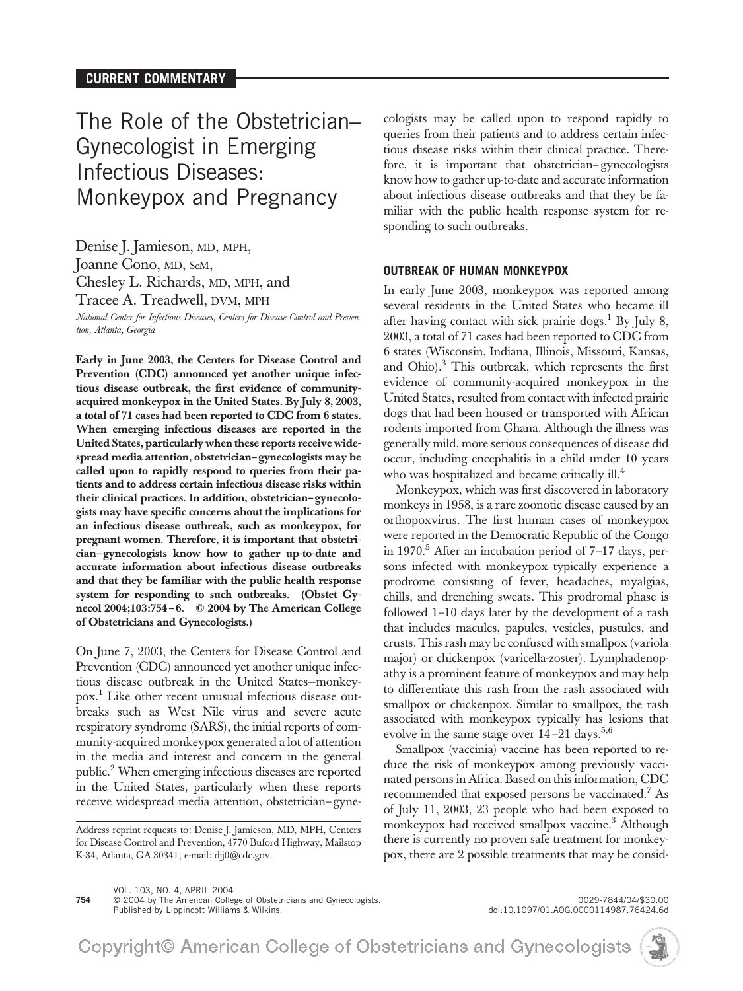# The Role of the Obstetrician– Gynecologist in Emerging Infectious Diseases: Monkeypox and Pregnancy

Denise J. Jamieson, MD, MPH, Joanne Cono, MD, ScM, Chesley L. Richards, MD, MPH, and Tracee A. Treadwell, DVM, MPH

*National Center for Infectious Diseases, Centers for Disease Control and Prevention, Atlanta, Georgia*

Early in June 2003, the Centers for Disease Control and Prevention (CDC) announced yet another unique infectious disease outbreak, the first evidence of communityacquired monkeypox in the United States. By July 8, 2003, a total of 71 cases had been reported to CDC from 6 states. When emerging infectious diseases are reported in the United States, particularly when these reports receive widespread media attention, obstetrician–gynecologists may be called upon to rapidly respond to queries from their patients and to address certain infectious disease risks within their clinical practices. In addition, obstetrician–gynecologists may have specific concerns about the implications for an infectious disease outbreak, such as monkeypox, for pregnant women. Therefore, it is important that obstetrician–gynecologists know how to gather up-to-date and accurate information about infectious disease outbreaks and that they be familiar with the public health response system for responding to such outbreaks. (Obstet Gynecol 2004;103:754–6. © 2004 by The American College of Obstetricians and Gynecologists.)

On June 7, 2003, the Centers for Disease Control and Prevention (CDC) announced yet another unique infectious disease outbreak in the United States—monkeypox.<sup>1</sup> Like other recent unusual infectious disease outbreaks such as West Nile virus and severe acute respiratory syndrome (SARS), the initial reports of community-acquired monkeypox generated a lot of attention in the media and interest and concern in the general public.2 When emerging infectious diseases are reported in the United States, particularly when these reports receive widespread media attention, obstetrician–gyne-

Address reprint requests to: Denise J. Jamieson, MD, MPH, Centers for Disease Control and Prevention, 4770 Buford Highway, Mailstop K-34, Atlanta, GA 30341; e-mail: djj0@cdc.gov.

cologists may be called upon to respond rapidly to queries from their patients and to address certain infectious disease risks within their clinical practice. Therefore, it is important that obstetrician–gynecologists know how to gather up-to-date and accurate information about infectious disease outbreaks and that they be familiar with the public health response system for responding to such outbreaks.

#### **OUTBREAK OF HUMAN MONKEYPOX**

In early June 2003, monkeypox was reported among several residents in the United States who became ill after having contact with sick prairie dogs.<sup>1</sup> By July 8, 2003, a total of 71 cases had been reported to CDC from 6 states (Wisconsin, Indiana, Illinois, Missouri, Kansas, and Ohio).<sup>3</sup> This outbreak, which represents the first evidence of community-acquired monkeypox in the United States, resulted from contact with infected prairie dogs that had been housed or transported with African rodents imported from Ghana. Although the illness was generally mild, more serious consequences of disease did occur, including encephalitis in a child under 10 years who was hospitalized and became critically  $ill.<sup>4</sup>$ 

Monkeypox, which was first discovered in laboratory monkeys in 1958, is a rare zoonotic disease caused by an orthopoxvirus. The first human cases of monkeypox were reported in the Democratic Republic of the Congo in 1970.<sup>5</sup> After an incubation period of 7–17 days, persons infected with monkeypox typically experience a prodrome consisting of fever, headaches, myalgias, chills, and drenching sweats. This prodromal phase is followed 1–10 days later by the development of a rash that includes macules, papules, vesicles, pustules, and crusts. This rash may be confused with smallpox (variola major) or chickenpox (varicella-zoster). Lymphadenopathy is a prominent feature of monkeypox and may help to differentiate this rash from the rash associated with smallpox or chickenpox. Similar to smallpox, the rash associated with monkeypox typically has lesions that evolve in the same stage over  $14-21$  days.<sup>5,6</sup>

Smallpox (vaccinia) vaccine has been reported to reduce the risk of monkeypox among previously vaccinated persons in Africa. Based on this information, CDC recommended that exposed persons be vaccinated.<sup>7</sup> As of July 11, 2003, 23 people who had been exposed to monkeypox had received smallpox vaccine.<sup>3</sup> Although there is currently no proven safe treatment for monkeypox, there are 2 possible treatments that may be consid-

VOL. 103, NO. 4, APRIL 2004 **754** © 2004 by The American College of Obstetricians and Gynecologists. 0029-7844/04/\$30.00

Published by Lippincott Williams & Wilkins. doi:10.1097/01.AOG.0000114987.76424.6d

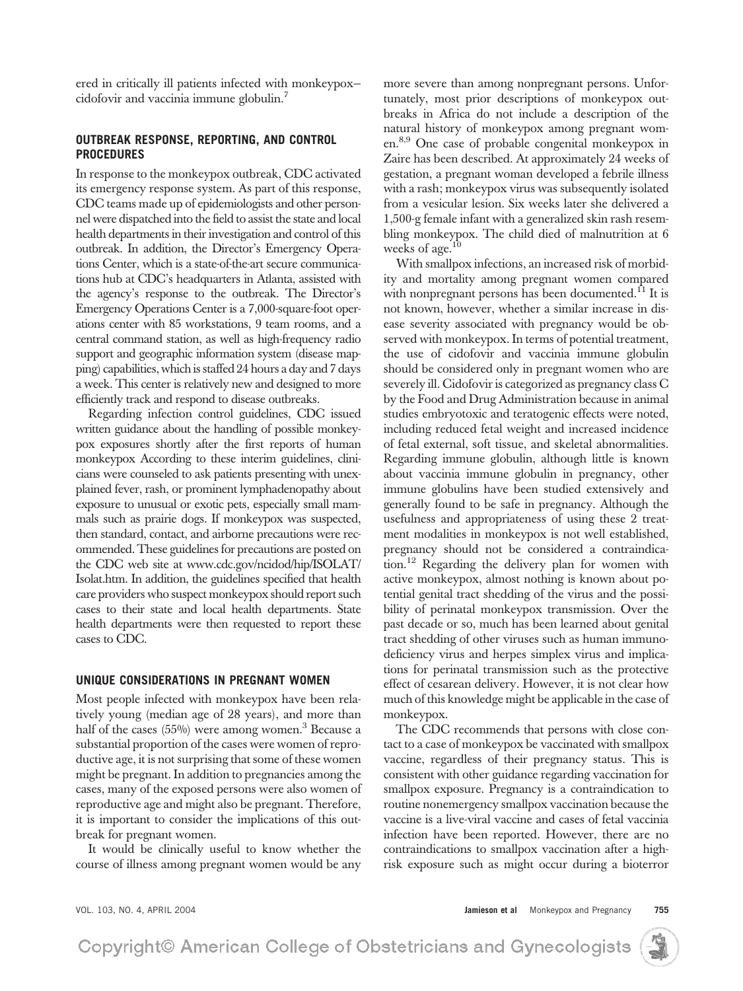ered in critically ill patients infected with monkeypox cidofovir and vaccinia immune globulin.7

### **OUTBREAK RESPONSE, REPORTING, AND CONTROL PROCEDURES**

In response to the monkeypox outbreak, CDC activated its emergency response system. As part of this response, CDC teams made up of epidemiologists and other personnel were dispatched into the field to assist the state and local health departments in their investigation and control of this outbreak. In addition, the Director's Emergency Operations Center, which is a state-of-the-art secure communications hub at CDC's headquarters in Atlanta, assisted with the agency's response to the outbreak. The Director's Emergency Operations Center is a 7,000-square-foot operations center with 85 workstations, 9 team rooms, and a central command station, as well as high-frequency radio support and geographic information system (disease mapping) capabilities, which is staffed 24 hours a day and 7 days a week. This center is relatively new and designed to more efficiently track and respond to disease outbreaks.

Regarding infection control guidelines, CDC issued written guidance about the handling of possible monkeypox exposures shortly after the first reports of human monkeypox According to these interim guidelines, clinicians were counseled to ask patients presenting with unexplained fever, rash, or prominent lymphadenopathy about exposure to unusual or exotic pets, especially small mammals such as prairie dogs. If monkeypox was suspected, then standard, contact, and airborne precautions were recommended. These guidelines for precautions are posted on the CDC web site at www.cdc.gov/ncidod/hip/ISOLAT/ Isolat.htm. In addition, the guidelines specified that health care providers who suspect monkeypox should report such cases to their state and local health departments. State health departments were then requested to report these cases to CDC.

### **UNIQUE CONSIDERATIONS IN PREGNANT WOMEN**

Most people infected with monkeypox have been relatively young (median age of 28 years), and more than half of the cases  $(55%)$  were among women.<sup>3</sup> Because a substantial proportion of the cases were women of reproductive age, it is not surprising that some of these women might be pregnant. In addition to pregnancies among the cases, many of the exposed persons were also women of reproductive age and might also be pregnant. Therefore, it is important to consider the implications of this outbreak for pregnant women.

It would be clinically useful to know whether the course of illness among pregnant women would be any more severe than among nonpregnant persons. Unfortunately, most prior descriptions of monkeypox outbreaks in Africa do not include a description of the natural history of monkeypox among pregnant women.8,9 One case of probable congenital monkeypox in Zaire has been described. At approximately 24 weeks of gestation, a pregnant woman developed a febrile illness with a rash; monkeypox virus was subsequently isolated from a vesicular lesion. Six weeks later she delivered a 1,500-g female infant with a generalized skin rash resembling monkeypox. The child died of malnutrition at 6 weeks of age.<sup>10</sup>

With smallpox infections, an increased risk of morbidity and mortality among pregnant women compared with nonpregnant persons has been documented.<sup>11</sup> It is not known, however, whether a similar increase in disease severity associated with pregnancy would be observed with monkeypox. In terms of potential treatment, the use of cidofovir and vaccinia immune globulin should be considered only in pregnant women who are severely ill. Cidofovir is categorized as pregnancy class C by the Food and Drug Administration because in animal studies embryotoxic and teratogenic effects were noted, including reduced fetal weight and increased incidence of fetal external, soft tissue, and skeletal abnormalities. Regarding immune globulin, although little is known about vaccinia immune globulin in pregnancy, other immune globulins have been studied extensively and generally found to be safe in pregnancy. Although the usefulness and appropriateness of using these 2 treatment modalities in monkeypox is not well established, pregnancy should not be considered a contraindication.<sup>12</sup> Regarding the delivery plan for women with active monkeypox, almost nothing is known about potential genital tract shedding of the virus and the possibility of perinatal monkeypox transmission. Over the past decade or so, much has been learned about genital tract shedding of other viruses such as human immunodeficiency virus and herpes simplex virus and implications for perinatal transmission such as the protective effect of cesarean delivery. However, it is not clear how much of this knowledge might be applicable in the case of monkeypox.

The CDC recommends that persons with close contact to a case of monkeypox be vaccinated with smallpox vaccine, regardless of their pregnancy status. This is consistent with other guidance regarding vaccination for smallpox exposure. Pregnancy is a contraindication to routine nonemergency smallpox vaccination because the vaccine is a live-viral vaccine and cases of fetal vaccinia infection have been reported. However, there are no contraindications to smallpox vaccination after a highrisk exposure such as might occur during a bioterror